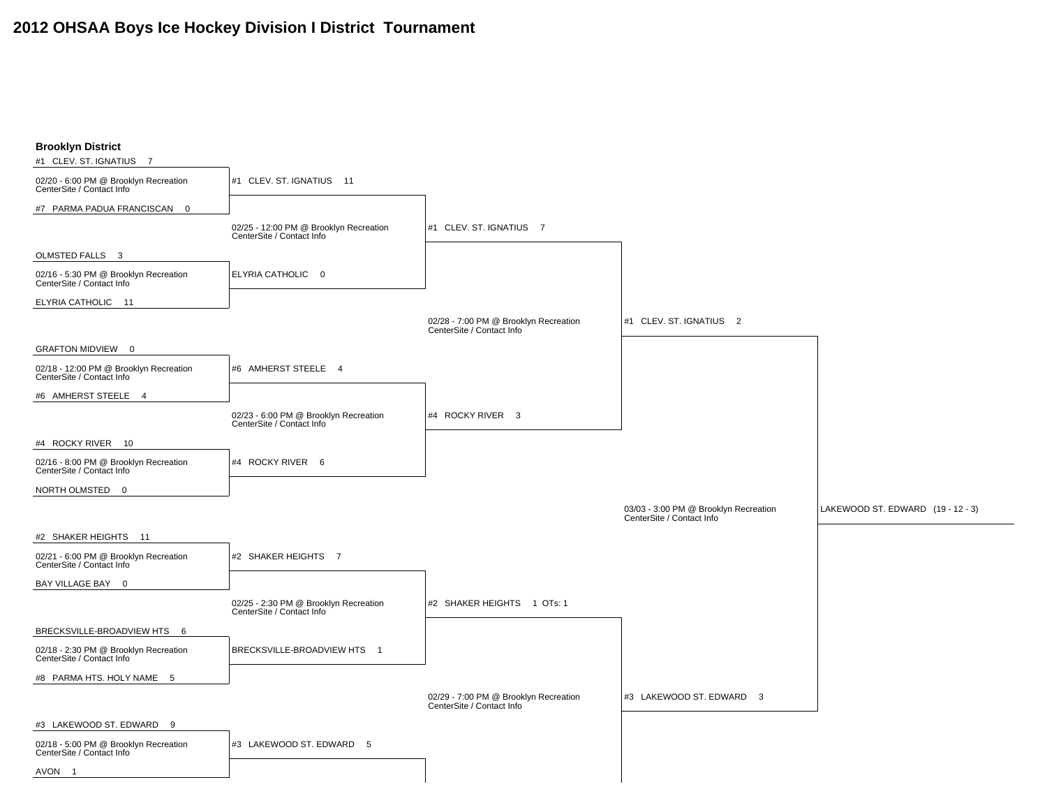## **2012 OHSAA Boys Ice Hockey Division I District Tournament**